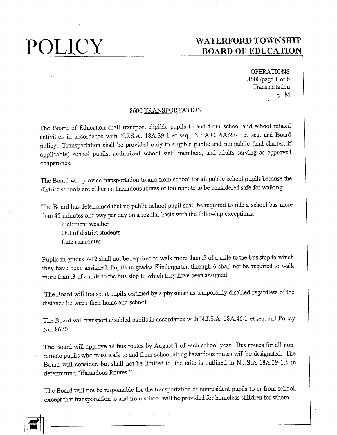OPERATIONS 8600/page 1 of 6 Transportation  $\gamma$  M

## 8600 TRANSPORTATION

The Board of Education shall transport eligible pupils to and from school and school related activities in accordance with N.J.S.A. 18A:39-1 et seq., N.J.A.C. 6A:27-1 et seq. and Board policy. Transportation shall be provided only to eligible public and nonpublic (and charter, if applicable) school pupils, authorized school staff members, and adults serving as approved chaperones.

The Board will provide transportation to and from school for all public school pupils because the district schools are either on hazardous routes or too remote to be considered safe for walking.

The Board has determined that no public school pupil shall be required to ride a school bus more than 45 minutes one way per day on a regular basis with the following exceptions:

Inclement weather Out of district students Late run routes

Pupils in grades 7-12 shall not be required to walk more than .5 of a mile to the bus stop to which they have been assigned. Pupils in grades Kindergarten through 6 shall not be required to walk more than .3 of a mile to the bus stop to which they have been assigned.

The Board will transport pupils certified by a physician as temporarily disabled regardless of the distance between their home and school.

The Board will transport disabled pupils in accordance with N.J.S.A. 18A:46-1 et seq. and Policy No. 8670.

The Board will approve all bus routes by August 1 of each school year. Bus routes for all nonremote pupils who must walk to and from school along hazardous routes will be designated. The Board will consider, but shall not be limited to, the criteria outlined in N.J.S.A 18A:39-1.5 in determining "Hazardous Routes."

The Board will not be responsible for the transportation of nonresident pupils to or from school, except that transportation to and from school will be provided for homeless children for whom

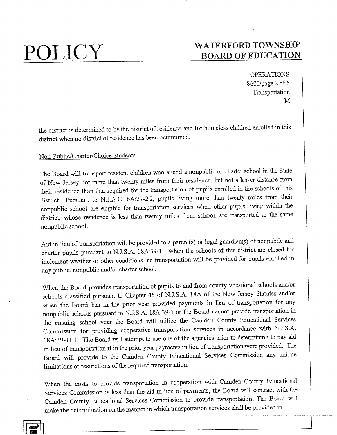OPERATIONS 8600/page 2 of 6 Transportation  $\overline{M}$ 

the district is determined to be the district of residence and for homeless children enrolled in this district when no district of residence has been determined.

### Non-Public/Charter/Choice Students

The Board will transport resident children who attend a nonpublic or charter school in the State of New Jersey not more than twenty miles from their residence, but not a lesser distance from their residence than that required for the transportation of pupils enrolled in the schools of this district. Pursuant to N.J.A.C. 6A:27-2.2, pupils living more than twenty miles from their nonpublic school are eligible for transportation services when other pupils living within the district, whose residence is less than twenty miles from school, are transported to the same nonpublic school.

Aid in lieu of transportation will be provided to a parent(s) or legal guardian(s) of nonpublic and charter pupils pursuant to N.J.S.A. 18A:39-1. When the schools of this district are closed for inclement weather or other conditions, no transportation will be provided for pupils enrolled in any public, nonpublic and/or charter school.

When the Board provides transportation of pupils to and from county vocational schools and/or schools classified pursuant to Chapter 46 of N.J.S.A. 18A of the New Jersey Statutes and/or when the Board has in the prior year provided payments in lieu of transportation for any nonpublic schools pursuant to N.J.S.A. 18A:39-1 or the Board cannot provide transportation in the ensuing school year the Board will utilize the Camden County Educational Services Commission for providing cooperative transportation services in accordance with N.J.S.A. 18A:39-11.1. The Board will attempt to use one of the agencies prior to determining to pay aid in lieu of transportation if in the prior year payments in lieu of transportation were provided. The Board will provide to the Camden County Educational Services Commission any unique limitations or restrictions of the required transportation.

When the costs to provide transportation in cooperation with Camden County Educational Services Commission is less than the aid in lieu of payments, the Board will contract with the Camden County Educational Services Commission to provide transportation. The Board will make the determination on the manner in which transportation services shall be provided in

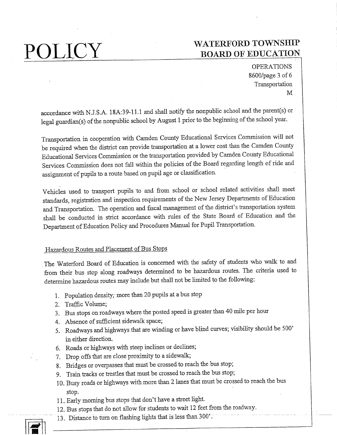OPERATIONS 8600/page 3 of 6 Transportation M

accordance with N.J.S.A. 18A:39-11.1 and shall notify the nonpublic school and the parent(s) or legal guardian(s) of the nonpublic school by August 1 prior to the beginning of the school year.

Transportation in cooperation with Camden County Educational Services Commission will not be required when the district can provide transportation at a lower cost than the Camden County Educational Services Commission or the transportation provided by Camden County Educational Services Commission does not fall within the policies of the Board regarding length of ride and assignment of pupils to a route based on pupil age or classification.

Vehicles used to transport pupils to and from school or school related activities shall meet standards, registration and inspection requirements of the New Jersey Departments of Education and Transportation. The operation and fiscal management of the district's transportation system shall be conducted in strict accordance with rules of the State Board of Education and the Department of Education Policy and Procedures Manual for Pupil Transportation.

## Hazardous Routes and Placement of Bus Stops

The Waterford Board of Education is concerned with the safety of students who walk to and from their bus stop along roadways determined, to be hazardous routes. The criteria used to determine hazardous routes may include but shall not be limited to the following:

- 1. Population density; more than 20 pupils at a bus stop
- 2. Traffic Volume;
- 3. Bus stops on roadways where the posted speed is greater than 40 mile per hour
- 4. Absence of sufficient sidewalk space;
- 5. Roadways and highways that are winding or have blind curves; visibility should be 500' in either direction.
- 6. Roads or highways with steep inclines or declines;
- 7. Drop offs that are close proximity to a sidewalk;
- 8. Bridges or overpasses that must be crossed to reach the bus stop;
- 9. Train tracks or trestles that must be crossed to reach the bus stop;
- 10. Busy roads or highways with more than 2 lanes that must be crossed to reach the bus stop.
- 11. Early morning bus stops that don't have a street light.
- 12. Bus stops that do not allow for students to wait 12 feet from the roadway.
- 13. Distance to tum on flashing lights that is less than 300'.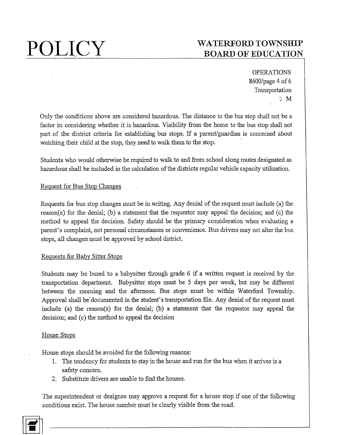# $\operatorname{POLICY}$  WATERFORD TOWNSHIP BOARD OF EDUCATION

OPERATIONS 8600/page 4 of 6 Transportation ÷Μ

Only the conditions above are considered hazardous. The distance to the bus stop shall not be a factor in considering whether it is hazardous. Visibility from the home to the bus stop shall not part of the district criteria for establishing bus stops. If a parent/guardian is concerned about watching their child at the stop, they need to walk them to the stop.

Students who would otherwise be required to walk to and from school along routes designated as hazardous shall be included in the calculation of the districts regular vehicle capacity utilization.

## Request for Bus Stop Changes

Requests for bus stop changes must be in writing. Any denial of the request must include (a) the reason(s) for the denial; (b) a statement that the requestor may appeal the decision; and (c) the method to appeal the decision. Safety should be the primary consideration when evaluating a parent's complaint, not personal circumstances or convenience. Bus drivers may not alter the bus stops, all changes must be approved by school district.

## Requests for Baby Sitter Stops

Students may be bused to a babysitter through grade 6 if a written request is received by the transportation department. Babysitter stops must be 5 days per week, but may be different between the morning and the afternoon. Bus stops must be within Waterford Township. Approval shall be documented in the student's transportation file. Any denial of the request must include (a) the reason(s) for the denial; (b) a statement that the requestor may appeal the decision; and (c) the method to appeal the decision

## House Stops

House stops should be avoided for the following reasons:

- 1. The tendency for students to stay in the house and run for the bus when it arrives is a safety concern.
- 2. Substitute drivers are unable to find the houses.

The superintendent or designee may approve a request for a house stop if one of the following conditions exist. The house number must be clearly visible from the road.

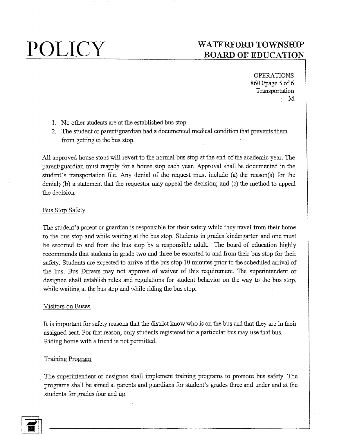# POLICY WATERFORD TOWNSHIP BOARD OF EDUCATION

**OPERATIONS** 8600/page 5 of 6 Transportation  $\bf M$ 

- 1. No other students are at the established bus stop.
- 2. The student or parent/guardian had a documented medical condition that prevents them from getting to the bus stop.

All approved house stops will revert to the normal bus stop at the end of the academic year. The parent/guardian must reapply for a house stop each year. Approval shall be docmnented in the student's transportation file.Any denial of the request must include (a) the reason(s) for the denial; (b) a statement that the requestor may appeal the decision; and (c) the method to appeal the decision

### Bus Stop Safety

The student's parent or guardian is responsible for their safety while they travel from their home to the bus stop and while waiting at the bus stop. Students in grades kindergarten and one must be escorted to and from the bus stop by a responsible adult. The board of education highly recommends that students in grade two and three be escorted to and from their bus stop for their safety. Students are expected to arrive at the bus stop 10 minutes prior to the scheduled arrival of the bus. Bus Drivers may not approve of waiver of this requirement. The superintendent or designee shall establish rules and regulations for student behavior on the way to the bus stop, while waiting at the bus stop and while riding the bus stop.

### Visitors on Buses

It is important for safety reasons that the district know who is on the bus and that they are in their assigned seat. For that reason, only students registered for a particular bus may use that bus. Riding home with a friend is not permitted.

### Training Program

The superintendent or designee shall implement training programs to promote bus safety. The programs shall be aimed at parents and guardians for student's grades three and under and at the students for grades four and up.